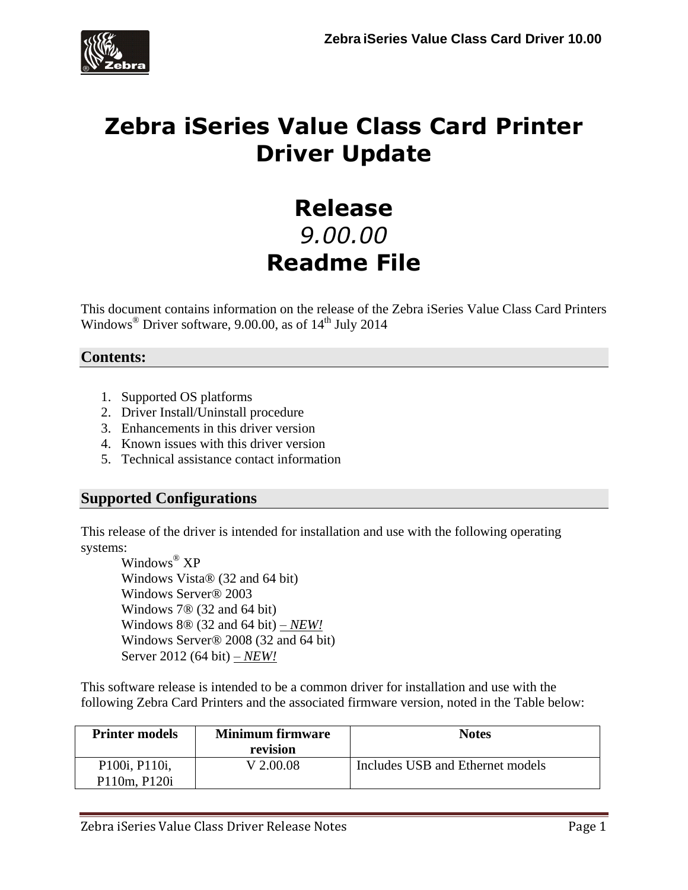

# **Zebra iSeries Value Class Card Printer Driver Update**

# **Release** *9.00.00* **Readme File**

This document contains information on the release of the Zebra iSeries Value Class Card Printers Windows<sup>®</sup> Driver software, 9.00.00, as of  $14<sup>th</sup>$  July 2014

## **Contents:**

- 1. Supported OS platforms
- 2. Driver Install/Uninstall procedure
- 3. Enhancements in this driver version
- 4. Known issues with this driver version
- 5. Technical assistance contact information

#### **Supported Configurations**

This release of the driver is intended for installation and use with the following operating systems:

Windows ® XP Windows Vista® (32 and 64 bit) Windows Server® 2003 Windows 7® (32 and 64 bit) Windows 8® (32 and 64 bit) *– NEW!* Windows Server® 2008 (32 and 64 bit) Server 2012 (64 bit) *– NEW!*

This software release is intended to be a common driver for installation and use with the following Zebra Card Printers and the associated firmware version, noted in the Table below:

| <b>Printer models</b>                             | <b>Minimum firmware</b> | <b>Notes</b>                     |  |  |  |  |
|---------------------------------------------------|-------------------------|----------------------------------|--|--|--|--|
|                                                   | revision                |                                  |  |  |  |  |
| P <sub>100</sub> i, P <sub>110</sub> <sub>i</sub> | V 2.00.08               | Includes USB and Ethernet models |  |  |  |  |
| P110m, P120i                                      |                         |                                  |  |  |  |  |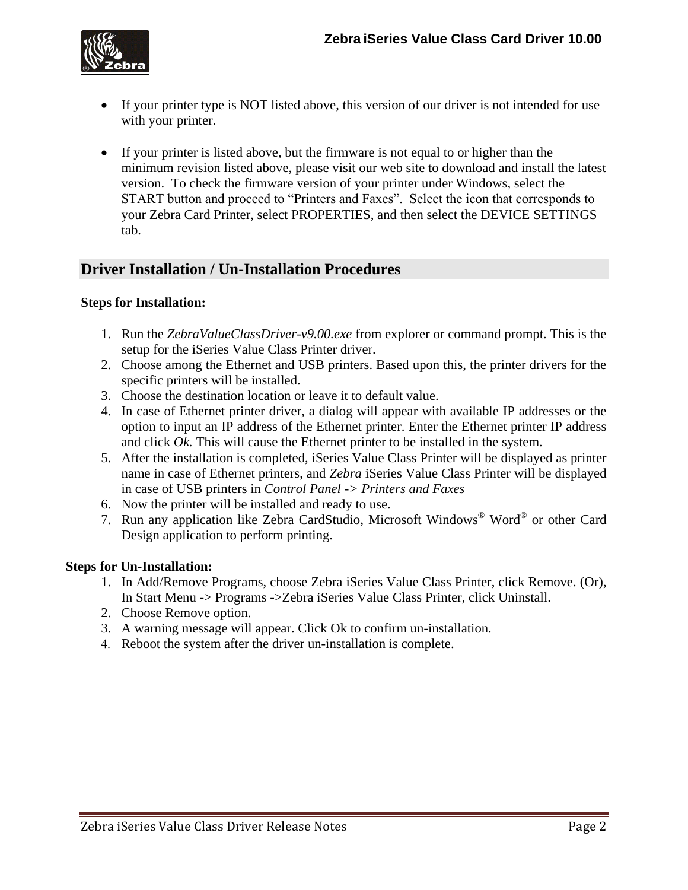

- If your printer type is NOT listed above, this version of our driver is not intended for use with your printer.
- If your printer is listed above, but the firmware is not equal to or higher than the minimum revision listed above, please visit our web site to download and install the latest version. To check the firmware version of your printer under Windows, select the START button and proceed to "Printers and Faxes". Select the icon that corresponds to your Zebra Card Printer, select PROPERTIES, and then select the DEVICE SETTINGS tab.

## **Driver Installation / Un-Installation Procedures**

#### **Steps for Installation:**

- 1. Run the *ZebraValueClassDriver-v9.00.exe* from explorer or command prompt. This is the setup for the iSeries Value Class Printer driver.
- 2. Choose among the Ethernet and USB printers. Based upon this, the printer drivers for the specific printers will be installed.
- 3. Choose the destination location or leave it to default value.
- 4. In case of Ethernet printer driver, a dialog will appear with available IP addresses or the option to input an IP address of the Ethernet printer. Enter the Ethernet printer IP address and click *Ok.* This will cause the Ethernet printer to be installed in the system.
- 5. After the installation is completed, iSeries Value Class Printer will be displayed as printer name in case of Ethernet printers, and *Zebra* iSeries Value Class Printer will be displayed in case of USB printers in *Control Panel -> Printers and Faxes*
- 6. Now the printer will be installed and ready to use.
- 7. Run any application like Zebra CardStudio, Microsoft Windows® Word® or other Card Design application to perform printing.

#### **Steps for Un-Installation:**

- 1. In Add/Remove Programs, choose Zebra iSeries Value Class Printer, click Remove. (Or), In Start Menu -> Programs ->Zebra iSeries Value Class Printer, click Uninstall.
- 2. Choose Remove option.
- 3. A warning message will appear. Click Ok to confirm un-installation.
- 4. Reboot the system after the driver un-installation is complete.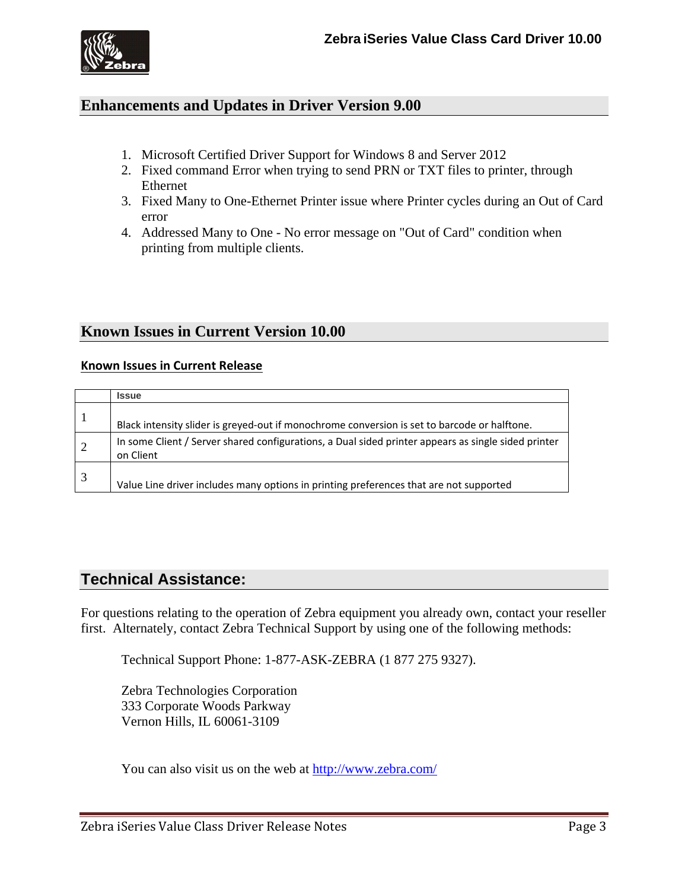

#### **Enhancements and Updates in Driver Version 9.00**

- 1. Microsoft Certified Driver Support for Windows 8 and Server 2012
- 2. Fixed command Error when trying to send PRN or TXT files to printer, through Ethernet
- 3. Fixed Many to One-Ethernet Printer issue where Printer cycles during an Out of Card error
- 4. Addressed Many to One No error message on "Out of Card" condition when printing from multiple clients.

#### **Known Issues in Current Version 10.00**

#### **Known Issues in Current Release**

|   | <b>Issue</b>                                                                                                     |
|---|------------------------------------------------------------------------------------------------------------------|
|   | Black intensity slider is greyed-out if monochrome conversion is set to barcode or halftone.                     |
| 2 | In some Client / Server shared configurations, a Dual sided printer appears as single sided printer<br>on Client |
|   | Value Line driver includes many options in printing preferences that are not supported                           |

## **Technical Assistance:**

For questions relating to the operation of Zebra equipment you already own, contact your reseller first. Alternately, contact Zebra Technical Support by using one of the following methods:

Technical Support Phone: 1-877-ASK-ZEBRA (1 877 275 9327).

Zebra Technologies Corporation 333 Corporate Woods Parkway Vernon Hills, IL 60061-3109

You can also visit us on the web at<http://www.zebra.com/>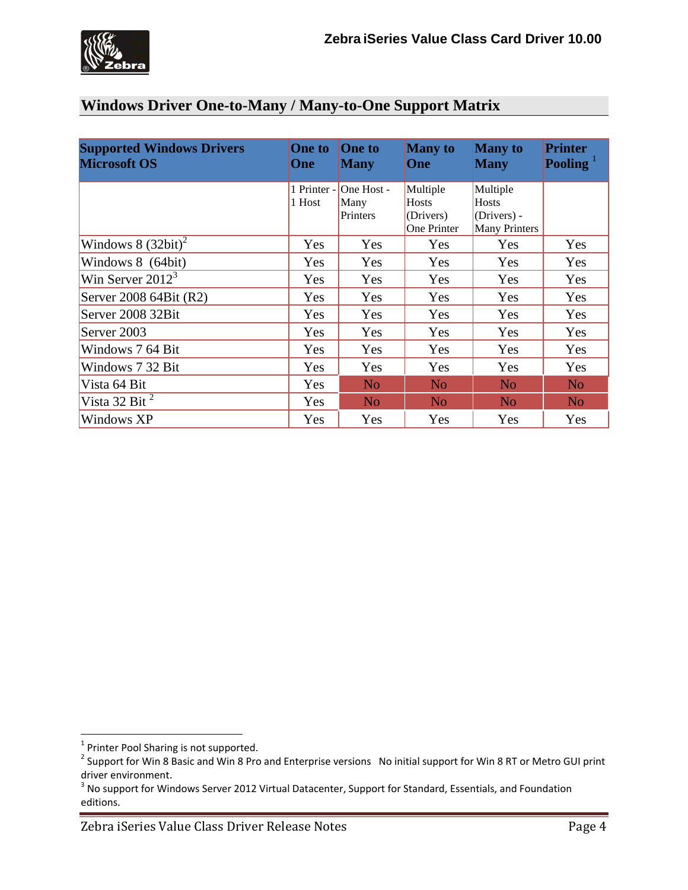# **Windows Driver One-to-Many / Many-to-One Support Matrix**

| <b>Supported Windows Drivers</b><br><b>Microsoft OS</b> | <b>One to</b><br>One  | <b>One to</b><br><b>Many</b>   | <b>Many</b> to<br>One                         | <b>Many</b> to<br><b>Many</b>                                   | <b>Printer</b><br>Pooling $^1$ |  |
|---------------------------------------------------------|-----------------------|--------------------------------|-----------------------------------------------|-----------------------------------------------------------------|--------------------------------|--|
|                                                         | 1 Printer -<br>1 Host | One Host -<br>Many<br>Printers | Multiple<br>Hosts<br>(Drivers)<br>One Printer | Multiple<br><b>Hosts</b><br>(Drivers) -<br><b>Many Printers</b> |                                |  |
| Windows $8(32bit)^2$                                    | Yes                   | Yes                            | Yes                                           | Yes                                                             | Yes                            |  |
| Windows 8 (64bit)                                       | Yes                   | Yes                            | Yes                                           | Yes                                                             | Yes                            |  |
| Win Server $20123$                                      | Yes                   | Yes                            | Yes                                           | Yes                                                             | Yes                            |  |
| Server 2008 64Bit (R2)                                  | Yes                   | Yes                            | Yes                                           | Yes                                                             | Yes                            |  |
| Server 2008 32Bit                                       | Yes                   | Yes                            | Yes                                           | <b>Yes</b>                                                      | Yes                            |  |
| Server 2003                                             | Yes                   | Yes                            | Yes                                           | Yes                                                             | Yes                            |  |
| Windows 7 64 Bit                                        | Yes                   | Yes                            | Yes                                           | <b>Yes</b>                                                      | Yes                            |  |
| Windows 7 32 Bit                                        | Yes                   | Yes                            | Yes                                           | Yes                                                             | Yes                            |  |
| Vista 64 Bit                                            | Yes                   | N <sub>o</sub>                 | N <sub>o</sub>                                | N <sub>o</sub>                                                  | N <sub>o</sub>                 |  |
| Vista 32 Bit $^2$                                       | Yes                   | N <sub>o</sub>                 | N <sub>o</sub>                                | N <sub>o</sub>                                                  | N <sub>o</sub>                 |  |
| Windows XP                                              | Yes                   | Yes                            | Yes                                           | Yes                                                             | Yes                            |  |

<sup>&</sup>lt;u>mandon met</u><br><sup>1</sup> Printer Pool Sharing is not supported.

<sup>&</sup>lt;sup>2</sup> Support for Win 8 Basic and Win 8 Pro and Enterprise versions No initial support for Win 8 RT or Metro GUI print driver environment.

 $3$  No support for Windows Server 2012 Virtual Datacenter, Support for Standard, Essentials, and Foundation editions.